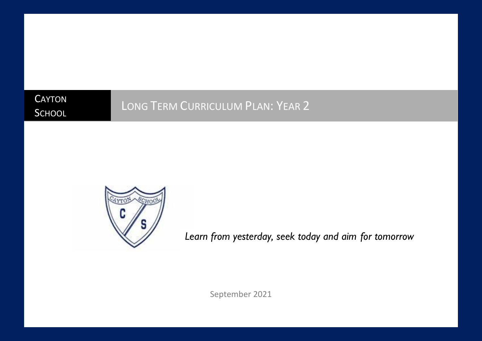**CAYTON SCHOOL** 

# LONG TERM CURRICULUM PLAN: YEAR 2



*Learn from yesterday, seek today and aim for tomorrow*

September 2021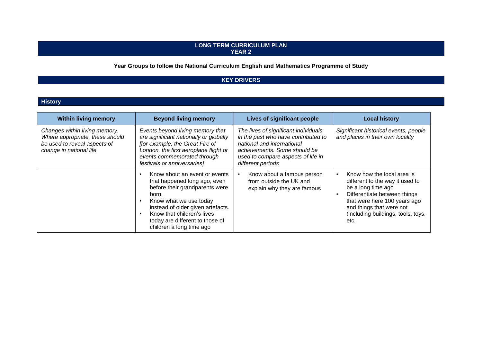#### **LONG TERM CURRICULUM PLAN YEAR 2**

## **Year Groups to follow the National Curriculum English and Mathematics Programme of Study**

# **KEY DRIVERS**

#### **History**

| <b>Within living memory</b>                                                                                                 | <b>Beyond living memory</b>                                                                                                                                                                                                                                          | Lives of significant people                                                                                                                                                                          | <b>Local history</b>                                                                                                                                                                                                          |
|-----------------------------------------------------------------------------------------------------------------------------|----------------------------------------------------------------------------------------------------------------------------------------------------------------------------------------------------------------------------------------------------------------------|------------------------------------------------------------------------------------------------------------------------------------------------------------------------------------------------------|-------------------------------------------------------------------------------------------------------------------------------------------------------------------------------------------------------------------------------|
| Changes within living memory.<br>Where appropriate, these should<br>be used to reveal aspects of<br>change in national life | Events beyond living memory that<br>are significant nationally or globally<br>[for example, the Great Fire of<br>London, the first aeroplane flight or<br>events commemorated through<br>festivals or anniversaries]                                                 | The lives of significant individuals<br>in the past who have contributed to<br>national and international<br>achievements. Some should be<br>used to compare aspects of life in<br>different periods | Significant historical events, people<br>and places in their own locality                                                                                                                                                     |
|                                                                                                                             | Know about an event or events<br>that happened long ago, even<br>before their grandparents were<br>born.<br>Know what we use today<br>instead of older given artefacts.<br>Know that children's lives<br>today are different to those of<br>children a long time ago | Know about a famous person<br>from outside the UK and<br>explain why they are famous                                                                                                                 | Know how the local area is<br>different to the way it used to<br>be a long time ago<br>Differentiate between things<br>that were here 100 years ago<br>and things that were not<br>(including buildings, tools, toys,<br>etc. |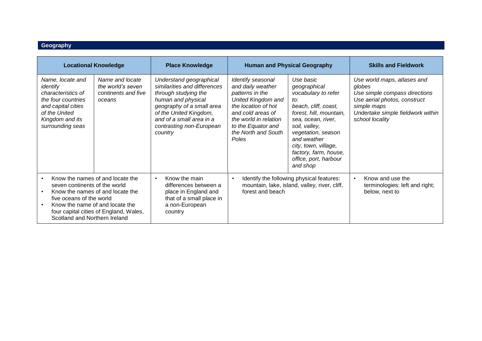#### **Geography**

| <b>Human and Physical Geography</b><br><b>Locational Knowledge</b><br><b>Place Knowledge</b>                                                                                                                                                                 |                                                                       |                                                                                                                                                                                                                                 | <b>Skills and Fieldwork</b>                                                                                                                                                                                |                                                                                                                                                                                                                                                                              |                                                                                                                                                                               |
|--------------------------------------------------------------------------------------------------------------------------------------------------------------------------------------------------------------------------------------------------------------|-----------------------------------------------------------------------|---------------------------------------------------------------------------------------------------------------------------------------------------------------------------------------------------------------------------------|------------------------------------------------------------------------------------------------------------------------------------------------------------------------------------------------------------|------------------------------------------------------------------------------------------------------------------------------------------------------------------------------------------------------------------------------------------------------------------------------|-------------------------------------------------------------------------------------------------------------------------------------------------------------------------------|
| Name, locate and<br>identify<br>characteristics of<br>the four countries<br>and capital cities<br>of the United<br>Kingdom and its<br>surrounding seas                                                                                                       | Name and locate<br>the world's seven<br>continents and five<br>oceans | Understand geographical<br>similarities and differences<br>through studying the<br>human and physical<br>geography of a small area<br>of the United Kingdom,<br>and of a small area in a<br>contrasting non-European<br>country | Identify seasonal<br>and daily weather<br>patterns in the<br>United Kingdom and<br>the location of hot<br>and cold areas of<br>the world in relation<br>to the Equator and<br>the North and South<br>Poles | Use basic<br>geographical<br>vocabulary to refer<br>to:<br>beach, cliff, coast,<br>forest, hill, mountain,<br>sea, ocean, river,<br>soil, valley,<br>vegetation, season<br>and weather<br>city, town, village,<br>factory, farm, house,<br>office, port, harbour<br>and shop | Use world maps, atlases and<br>globes<br>Use simple compass directions<br>Use aerial photos, construct<br>simple maps<br>Undertake simple fieldwork within<br>school locality |
| Know the names of and locate the<br>$\bullet$<br>seven continents of the world<br>Know the names of and locate the<br>five oceans of the world<br>Know the name of and locate the<br>four capital cities of England, Wales,<br>Scotland and Northern Ireland |                                                                       | Know the main<br>differences between a<br>place in England and<br>that of a small place in<br>a non-European<br>country                                                                                                         | $\bullet$<br>forest and beach                                                                                                                                                                              | Identify the following physical features:<br>mountain, lake, island, valley, river, cliff,                                                                                                                                                                                   | Know and use the<br>$\bullet$<br>terminologies: left and right;<br>below, next to                                                                                             |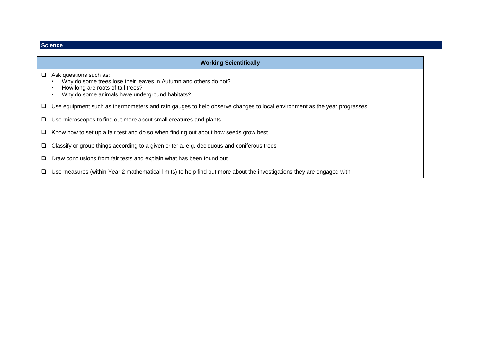| <b>Science</b> |  |  |  |
|----------------|--|--|--|
|                |  |  |  |

|   | <b>Working Scientifically</b>                                                                                                                                                     |  |  |  |  |
|---|-----------------------------------------------------------------------------------------------------------------------------------------------------------------------------------|--|--|--|--|
|   | Ask questions such as:<br>Why do some trees lose their leaves in Autumn and others do not?<br>How long are roots of tall trees?<br>Why do some animals have underground habitats? |  |  |  |  |
|   | Use equipment such as thermometers and rain gauges to help observe changes to local environment as the year progresses                                                            |  |  |  |  |
| ⊔ | Use microscopes to find out more about small creatures and plants                                                                                                                 |  |  |  |  |
| ⊔ | Know how to set up a fair test and do so when finding out about how seeds grow best                                                                                               |  |  |  |  |
|   | Classify or group things according to a given criteria, e.g. deciduous and coniferous trees                                                                                       |  |  |  |  |
| u | Draw conclusions from fair tests and explain what has been found out                                                                                                              |  |  |  |  |
| ⊔ | Use measures (within Year 2 mathematical limits) to help find out more about the investigations they are engaged with                                                             |  |  |  |  |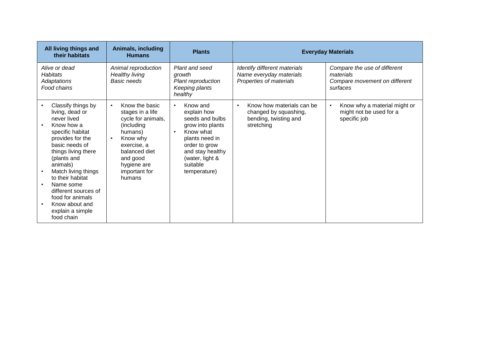| All living things and<br>their habitats                                                                                                                                                                                                                                                                                                | Animals, including<br><b>Humans</b>                                                                                                                                                                           | <b>Plants</b>                                                                                                                                                                                               | <b>Everyday Materials</b>                                                                 |                                                                                        |
|----------------------------------------------------------------------------------------------------------------------------------------------------------------------------------------------------------------------------------------------------------------------------------------------------------------------------------------|---------------------------------------------------------------------------------------------------------------------------------------------------------------------------------------------------------------|-------------------------------------------------------------------------------------------------------------------------------------------------------------------------------------------------------------|-------------------------------------------------------------------------------------------|----------------------------------------------------------------------------------------|
| Alive or dead<br><b>Habitats</b><br>Adaptations<br>Food chains                                                                                                                                                                                                                                                                         | Animal reproduction<br><b>Healthy living</b><br><b>Basic needs</b>                                                                                                                                            | Plant and seed<br>growth<br>Plant reproduction<br>Keeping plants<br>healthy                                                                                                                                 | Identify different materials<br>Name everyday materials<br>Properties of materials        | Compare the use of different<br>materials<br>Compare movement on different<br>surfaces |
| Classify things by<br>living, dead or<br>never lived<br>Know how a<br>specific habitat<br>provides for the<br>basic needs of<br>things living there<br>(plants and<br>animals)<br>Match living things<br>to their habitat<br>Name some<br>different sources of<br>food for animals<br>Know about and<br>explain a simple<br>food chain | Know the basic<br>$\bullet$<br>stages in a life<br>cycle for animals,<br>(including<br>humans)<br>Know why<br>$\bullet$<br>exercise, a<br>balanced diet<br>and good<br>hygiene are<br>important for<br>humans | Know and<br>$\bullet$<br>explain how<br>seeds and bulbs<br>grow into plants<br>Know what<br>$\bullet$<br>plants need in<br>order to grow<br>and stay healthy<br>(water, light &<br>suitable<br>temperature) | Know how materials can be<br>changed by squashing,<br>bending, twisting and<br>stretching | Know why a material might or<br>might not be used for a<br>specific job                |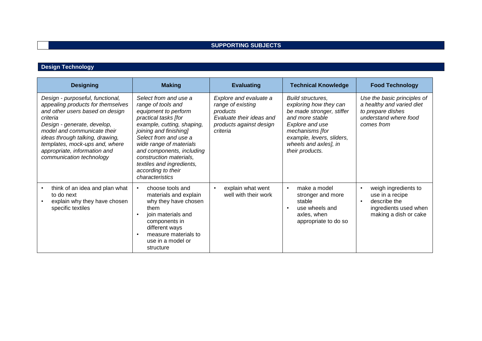# **SUPPORTING SUBJECTS**

## **Design Technology**

| <b>Designing</b>                                                                                                                                                                                                                                                                                                    | <b>Making</b>                                                                                                                                                                                                                                                                                                                         | <b>Evaluating</b>                                                                                                          | <b>Technical Knowledge</b>                                                                                                                                                                                 | <b>Food Technology</b>                                                                                               |
|---------------------------------------------------------------------------------------------------------------------------------------------------------------------------------------------------------------------------------------------------------------------------------------------------------------------|---------------------------------------------------------------------------------------------------------------------------------------------------------------------------------------------------------------------------------------------------------------------------------------------------------------------------------------|----------------------------------------------------------------------------------------------------------------------------|------------------------------------------------------------------------------------------------------------------------------------------------------------------------------------------------------------|----------------------------------------------------------------------------------------------------------------------|
| Design - purposeful, functional,<br>appealing products for themselves<br>and other users based on design<br>criteria<br>Design - generate, develop,<br>model and communicate their<br>ideas through talking, drawing,<br>templates, mock-ups and, where<br>appropriate, information and<br>communication technology | Select from and use a<br>range of tools and<br>equipment to perform<br>practical tasks [for<br>example, cutting, shaping,<br>joining and finishing]<br>Select from and use a<br>wide range of materials<br>and components, including<br>construction materials,<br>textiles and ingredients,<br>according to their<br>characteristics | Explore and evaluate a<br>range of existing<br>products<br>Evaluate their ideas and<br>products against design<br>criteria | Build structures,<br>exploring how they can<br>be made stronger, stiffer<br>and more stable<br>Explore and use<br>mechanisms [for<br>example, levers, sliders,<br>wheels and axles], in<br>their products. | Use the basic principles of<br>a healthy and varied diet<br>to prepare dishes<br>understand where food<br>comes from |
| think of an idea and plan what<br>to do next<br>explain why they have chosen<br>specific textiles                                                                                                                                                                                                                   | choose tools and<br>materials and explain<br>why they have chosen<br>them<br>join materials and<br>components in<br>different ways<br>measure materials to<br>use in a model or<br>structure                                                                                                                                          | explain what went<br>$\bullet$<br>well with their work                                                                     | make a model<br>stronger and more<br>stable<br>use wheels and<br>axles, when<br>appropriate to do so                                                                                                       | weigh ingredients to<br>use in a recipe<br>describe the<br>ingredients used when<br>making a dish or cake            |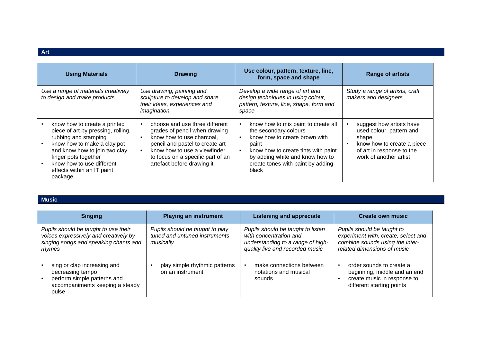| <b>Using Materials</b>                                                                                                                                                                                                                                   | <b>Drawing</b>                                                                                                                                                                                                                     | Use colour, pattern, texture, line,<br>form, space and shape                                                                                                                                                                                | <b>Range of artists</b>                                                                                                                            |
|----------------------------------------------------------------------------------------------------------------------------------------------------------------------------------------------------------------------------------------------------------|------------------------------------------------------------------------------------------------------------------------------------------------------------------------------------------------------------------------------------|---------------------------------------------------------------------------------------------------------------------------------------------------------------------------------------------------------------------------------------------|----------------------------------------------------------------------------------------------------------------------------------------------------|
| Use a range of materials creatively<br>to design and make products                                                                                                                                                                                       | Use drawing, painting and<br>sculpture to develop and share<br>their ideas, experiences and<br>imagination                                                                                                                         | Develop a wide range of art and<br>design techniques in using colour,<br>pattern, texture, line, shape, form and<br>space                                                                                                                   | Study a range of artists, craft<br>makers and designers                                                                                            |
| know how to create a printed<br>piece of art by pressing, rolling,<br>rubbing and stamping<br>know how to make a clay pot<br>and know how to join two clay<br>finger pots together<br>know how to use different<br>effects within an IT paint<br>package | choose and use three different<br>grades of pencil when drawing<br>know how to use charcoal,<br>pencil and pastel to create art<br>know how to use a viewfinder<br>to focus on a specific part of an<br>artefact before drawing it | know how to mix paint to create all<br>the secondary colours<br>know how to create brown with<br>paint<br>know how to create tints with paint<br>$\bullet$<br>by adding white and know how to<br>create tones with paint by adding<br>black | suggest how artists have<br>used colour, pattern and<br>shape<br>know how to create a piece<br>of art in response to the<br>work of another artist |

#### **Music**

| <b>Singing</b>                                                                                                                   | <b>Playing an instrument</b>                                                  | <b>Listening and appreciate</b>                                                                                                     | <b>Create own music</b>                                                                                                             |
|----------------------------------------------------------------------------------------------------------------------------------|-------------------------------------------------------------------------------|-------------------------------------------------------------------------------------------------------------------------------------|-------------------------------------------------------------------------------------------------------------------------------------|
| Pupils should be taught to use their<br>voices expressively and creatively by<br>singing songs and speaking chants and<br>rhymes | Pupils should be taught to play<br>tuned and untuned instruments<br>musically | Pupils should be taught to listen<br>with concentration and<br>understanding to a range of high-<br>quality live and recorded music | Pupils should be taught to<br>experiment with, create, select and<br>combine sounds using the inter-<br>related dimensions of music |
| sing or clap increasing and<br>decreasing tempo<br>perform simple patterns and<br>accompaniments keeping a steady<br>pulse       | play simple rhythmic patterns<br>on an instrument                             | make connections between<br>notations and musical<br>sounds                                                                         | order sounds to create a<br>beginning, middle and an end<br>create music in response to<br>different starting points                |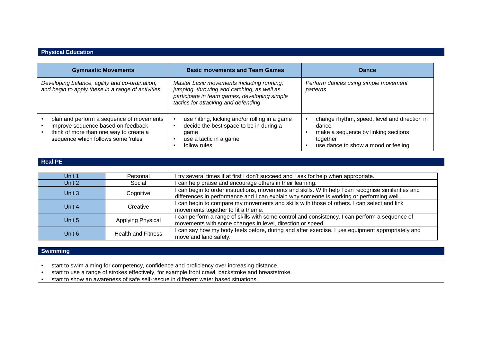#### **Physical Education**

| <b>Gymnastic Movements</b>                                                                                                                                      | <b>Basic movements and Team Games</b>                                                                                                                                          | Dance                                                                                                                                           |
|-----------------------------------------------------------------------------------------------------------------------------------------------------------------|--------------------------------------------------------------------------------------------------------------------------------------------------------------------------------|-------------------------------------------------------------------------------------------------------------------------------------------------|
| Developing balance, agility and co-ordination,<br>and begin to apply these in a range of activities                                                             | Master basic movements including running,<br>jumping, throwing and catching, as well as<br>participate in team games, developing simple<br>tactics for attacking and defending | Perform dances using simple movement<br>patterns                                                                                                |
| plan and perform a sequence of movements<br>improve sequence based on feedback<br>think of more than one way to create a<br>sequence which follows some 'rules' | use hitting, kicking and/or rolling in a game<br>decide the best space to be in during a<br>game<br>use a tactic in a game<br>follow rules                                     | change rhythm, speed, level and direction in<br>dance<br>make a sequence by linking sections<br>together<br>use dance to show a mood or feeling |

#### **Real PE**

| Unit 1 | Personal                  | I try several times if at first I don't succeed and I ask for help when appropriate.                                                                                                           |
|--------|---------------------------|------------------------------------------------------------------------------------------------------------------------------------------------------------------------------------------------|
| Unit 2 | Social                    | I can help praise and encourage others in their learning.                                                                                                                                      |
| Unit 3 | Cognitive                 | I can begin to order instructions, movements and skills. With help I can recognise similarities and<br>differences in performance and I can explain why someone is working or performing well. |
| Unit 4 | Creative                  | I can begin to compare my movements and skills with those of others. I can select and link<br>movements together to fit a theme.                                                               |
| Unit 5 | Applying Physical         | I can perform a range of skills with some control and consistency. I can perform a sequence of<br>movements with some changes in level, direction or speed.                                    |
| Unit 6 | <b>Health and Fitness</b> | I can say how my body feels before, during and after exercise. I use equipment appropriately and<br>move and land safely.                                                                      |

#### **Swimming**

• start to swim aiming for competency, confidence and proficiency over increasing distance.

• start to use a range of strokes effectively, for example front crawl, backstroke and breaststroke.

• start to show an awareness of safe self-rescue in different water based situations.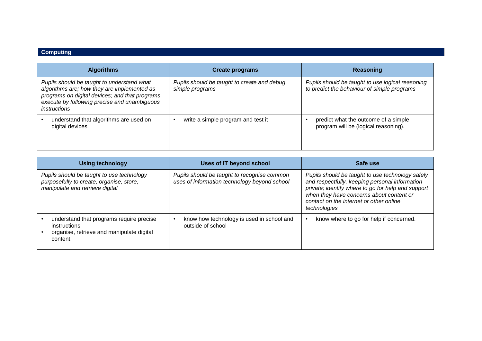# **Computing**

| <b>Algorithms</b>                                                                                                                                                                                                  | <b>Create programs</b>                                         | Reasoning                                                                                       |
|--------------------------------------------------------------------------------------------------------------------------------------------------------------------------------------------------------------------|----------------------------------------------------------------|-------------------------------------------------------------------------------------------------|
| Pupils should be taught to understand what<br>algorithms are; how they are implemented as<br>programs on digital devices; and that programs<br>execute by following precise and unambiguous<br><i>instructions</i> | Pupils should be taught to create and debug<br>simple programs | Pupils should be taught to use logical reasoning<br>to predict the behaviour of simple programs |
| understand that algorithms are used on<br>digital devices                                                                                                                                                          | write a simple program and test it                             | predict what the outcome of a simple<br>program will be (logical reasoning).                    |

| <b>Using technology</b>                                                                                                  | Uses of IT beyond school                                                                    | Safe use                                                                                                                                                                                                                                                        |
|--------------------------------------------------------------------------------------------------------------------------|---------------------------------------------------------------------------------------------|-----------------------------------------------------------------------------------------------------------------------------------------------------------------------------------------------------------------------------------------------------------------|
| Pupils should be taught to use technology<br>purposefully to create, organise, store,<br>manipulate and retrieve digital | Pupils should be taught to recognise common<br>uses of information technology beyond school | Pupils should be taught to use technology safely<br>and respectfully, keeping personal information<br>private; identify where to go for help and support<br>when they have concerns about content or<br>contact on the internet or other online<br>technologies |
| understand that programs require precise<br>instructions<br>organise, retrieve and manipulate digital<br>content         | know how technology is used in school and<br>outside of school                              | know where to go for help if concerned.                                                                                                                                                                                                                         |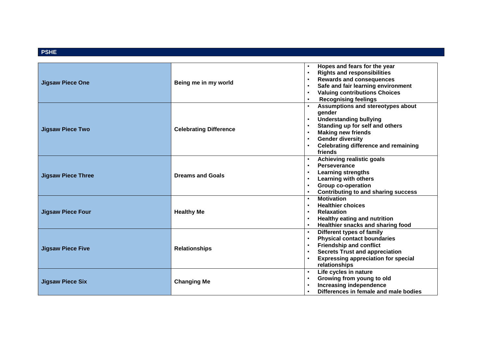#### **PSHE**

| <b>Jigsaw Piece One</b>   | Being me in my world          | Hopes and fears for the year<br>$\bullet$<br><b>Rights and responsibilities</b><br>$\bullet$<br><b>Rewards and consequences</b><br>$\bullet$<br>Safe and fair learning environment<br>$\bullet$<br><b>Valuing contributions Choices</b><br>$\bullet$<br><b>Recognising feelings</b>                |
|---------------------------|-------------------------------|----------------------------------------------------------------------------------------------------------------------------------------------------------------------------------------------------------------------------------------------------------------------------------------------------|
| <b>Jigsaw Piece Two</b>   | <b>Celebrating Difference</b> | Assumptions and stereotypes about<br>gender<br><b>Understanding bullying</b><br>$\bullet$<br>Standing up for self and others<br>$\bullet$<br><b>Making new friends</b><br>$\bullet$<br><b>Gender diversity</b><br>$\bullet$<br><b>Celebrating difference and remaining</b><br>$\bullet$<br>friends |
| <b>Jigsaw Piece Three</b> | <b>Dreams and Goals</b>       | Achieving realistic goals<br>$\bullet$<br>Perseverance<br>$\bullet$<br><b>Learning strengths</b><br>$\bullet$<br><b>Learning with others</b><br>$\bullet$<br>Group co-operation<br>$\bullet$<br><b>Contributing to and sharing success</b><br>$\bullet$                                            |
| <b>Jigsaw Piece Four</b>  | <b>Healthy Me</b>             | <b>Motivation</b><br>$\bullet$<br><b>Healthier choices</b><br>$\bullet$<br><b>Relaxation</b><br>$\bullet$<br><b>Healthy eating and nutrition</b><br>Healthier snacks and sharing food                                                                                                              |
| <b>Jigsaw Piece Five</b>  | <b>Relationships</b>          | Different types of family<br>$\bullet$<br><b>Physical contact boundaries</b><br>$\bullet$<br><b>Friendship and conflict</b><br>$\bullet$<br><b>Secrets Trust and appreciation</b><br>$\bullet$<br><b>Expressing appreciation for special</b><br>$\bullet$<br>relationships                         |
| <b>Jigsaw Piece Six</b>   | <b>Changing Me</b>            | Life cycles in nature<br>$\bullet$<br>Growing from young to old<br>$\bullet$<br>Increasing independence<br>$\bullet$<br>Differences in female and male bodies                                                                                                                                      |